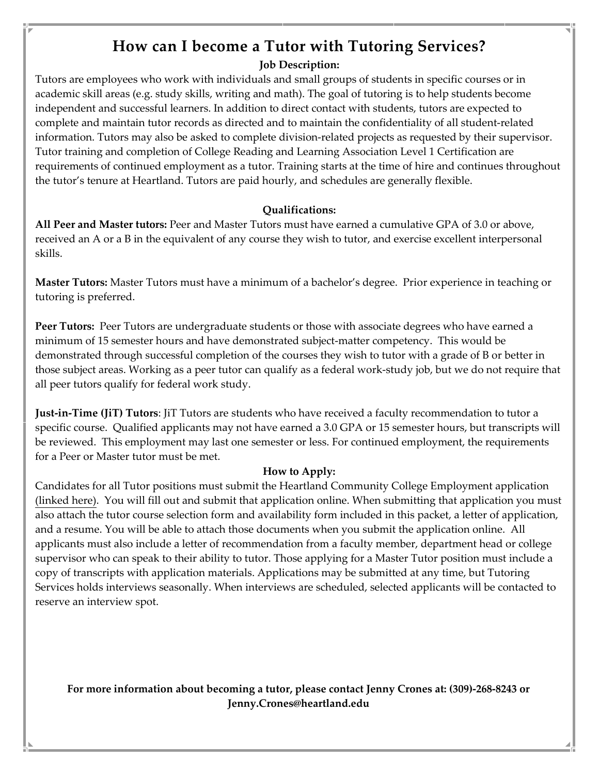# **How can I become a Tutor with Tutoring Services?**

#### **Job Description:**

Tutors are employees who work with individuals and small groups of students in specific courses or in academic skill areas (e.g. study skills, writing and math). The goal of tutoring is to help students become independent and successful learners. In addition to direct contact with students, tutors are expected to complete and maintain tutor records as directed and to maintain the confidentiality of all student-related information. Tutors may also be asked to complete division-related projects as requested by their supervisor. Tutor training and completion of College Reading and Learning Association Level 1 Certification are requirements of continued employment as a tutor. Training starts at the time of hire and continues throughout the tutor's tenure at Heartland. Tutors are paid hourly, and schedules are generally flexible.

#### **Qualifications:**

**All Peer and Master tutors:** Peer and Master Tutors must have earned a cumulative GPA of 3.0 or above, received an A or a B in the equivalent of any course they wish to tutor, and exercise excellent interpersonal skills.

**Master Tutors:** Master Tutors must have a minimum of a bachelor's degree. Prior experience in teaching or tutoring is preferred.

**Peer Tutors:** Peer Tutors are undergraduate students or those with associate degrees who have earned a minimum of 15 semester hours and have demonstrated subject-matter competency. This would be demonstrated through successful completion of the courses they wish to tutor with a grade of B or better in those subject areas. Working as a peer tutor can qualify as a federal work-study job, but we do not require that all peer tutors qualify for federal work study.

**Just-in-Time (JiT) Tutors**: JiT Tutors are students who have received a faculty recommendation to tutor a specific course. Qualified applicants may not have earned a 3.0 GPA or 15 semester hours, but transcripts will be reviewed. This employment may last one semester or less. For continued employment, the requirements for a Peer or Master tutor must be met.

#### **How to Apply:**

Candidates for all Tutor positions must submit the Heartland Community College Employment application [\(linked here\)](https://www.schooljobs.com/careers/heartland/jobs/3011594/employment-application). You will fill out and submit that application online. When submitting that application you must also attach the tutor course selection form and availability form included in this packet, a letter of application, and a resume. You will be able to attach those documents when you submit the application online. All applicants must also include a letter of recommendation from a faculty member, department head or college supervisor who can speak to their ability to tutor. Those applying for a Master Tutor position must include a copy of transcripts with application materials. Applications may be submitted at any time, but Tutoring Services holds interviews seasonally. When interviews are scheduled, selected applicants will be contacted to reserve an interview spot.

**For more information about becoming a tutor, please contact Jenny Crones at: (309)-268-8243 or Jenny.Crones@heartland.edu**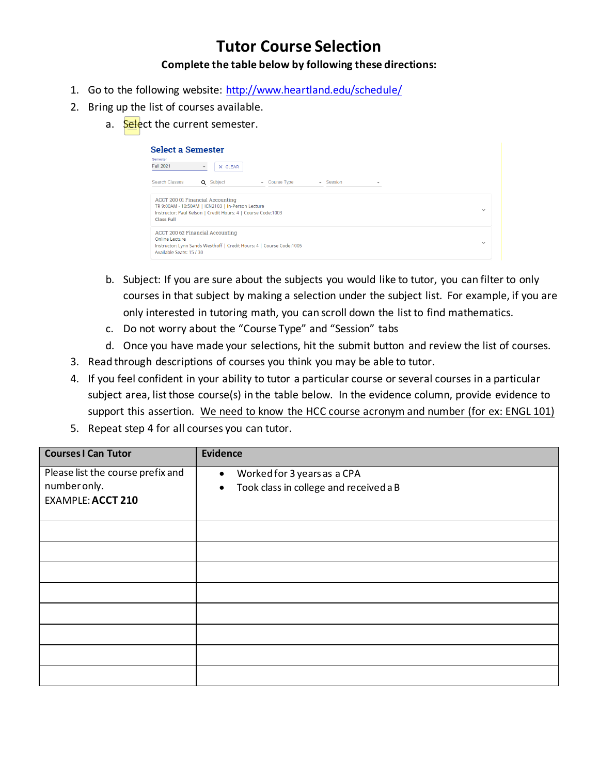## **Tutor Course Selection Complete the table below by following these directions:**

- 1. Go to the following website:<http://www.heartland.edu/schedule/>
- 2. Bring up the list of courses available.
	- a. Select the current semester.

| <b>Select a Semester</b><br>Semester<br><b>Fall 2021</b>                               | X CLEAR<br>$\blacktriangledown$                                                                                                                              |                                         |                                     |                          |              |
|----------------------------------------------------------------------------------------|--------------------------------------------------------------------------------------------------------------------------------------------------------------|-----------------------------------------|-------------------------------------|--------------------------|--------------|
| Search Classes                                                                         | Q Subject                                                                                                                                                    | Course Type<br>$\overline{\phantom{a}}$ | Session<br>$\overline{\phantom{a}}$ | $\overline{\phantom{a}}$ |              |
| <b>Class Full</b>                                                                      | <b>ACCT 200 01 Financial Accounting</b><br>TR 9:00AM - 10:50AM   ICN2103   In-Person Lecture<br>Instructor: Paul Kelson   Credit Hours: 4   Course Code:1003 |                                         |                                     |                          | $\checkmark$ |
| Online Lecture<br>Instructor: Lynn Sands Westhoff   Credit Hours: 4   Course Code:1005 | ACCT 200 62 Financial Accounting                                                                                                                             |                                         |                                     |                          | $\checkmark$ |

- b. Subject: If you are sure about the subjects you would like to tutor, you can filter to only courses in that subject by making a selection under the subject list. For example, if you are only interested in tutoring math, you can scroll down the list to find mathematics.
- c. Do not worry about the "Course Type" and "Session" tabs
- d. Once you have made your selections, hit the submit button and review the list of courses.
- 3. Read through descriptions of courses you think you may be able to tutor.
- 4. If you feel confident in your ability to tutor a particular course or several courses in a particular subject area, list those course(s) in the table below. In the evidence column, provide evidence to support this assertion. We need to know the HCC course acronym and number (for ex: ENGL 101)
- 5. Repeat step 4 for all courses you can tutor.

| <b>Courses I Can Tutor</b>        | Evidence                                            |
|-----------------------------------|-----------------------------------------------------|
| Please list the course prefix and | Worked for 3 years as a CPA<br>$\bullet$            |
| number only.                      | Took class in college and received a B<br>$\bullet$ |
| <b>EXAMPLE: ACCT 210</b>          |                                                     |
|                                   |                                                     |
|                                   |                                                     |
|                                   |                                                     |
|                                   |                                                     |
|                                   |                                                     |
|                                   |                                                     |
|                                   |                                                     |
|                                   |                                                     |
|                                   |                                                     |